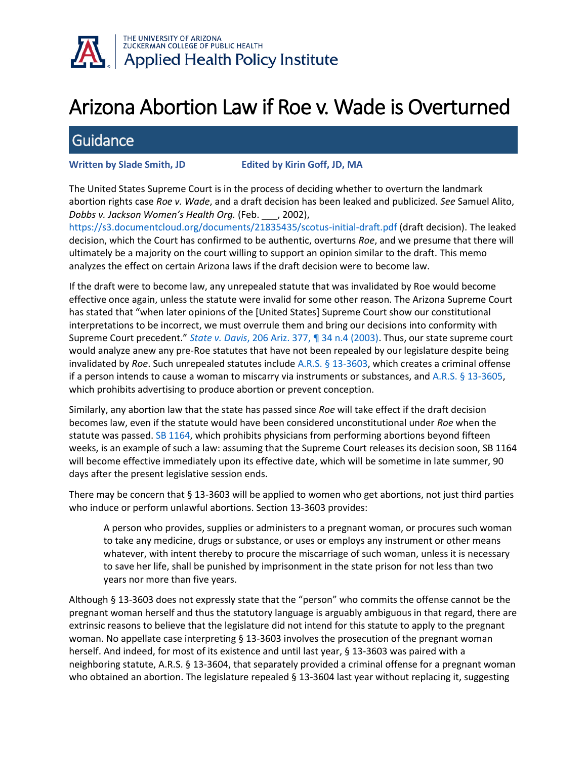

## Arizona Abortion Law if Roe v. Wade is Overturned

## **Guidance**

**Written by Slade Smith, JD Edited by Kirin Goff, JD, MA**

The United States Supreme Court is in the process of deciding whether to overturn the landmark abortion rights case *Roe v. Wade*, and a draft decision has been leaked and publicized. *See* Samuel Alito, *Dobbs v. Jackson Women's Health Org.* (Feb. \_\_\_, 2002),

https://s3.documentcloud.org/documents/21835435/scotus-initial-draft.pdf (draft decision). The leaked decision, which the Court has confirmed to be authentic, overturns *Roe*, and we presume that there will ultimately be a majority on the court willing to support an opinion similar to the draft. This memo analyzes the effect on certain Arizona laws if the draft decision were to become law.

If the draft were to become law, any unrepealed statute that was invalidated by Roe would become effective once again, unless the statute were invalid for some other reason. The Arizona Supreme Court has stated that "when later opinions of the [United States] Supreme Court show our constitutional interpretations to be incorrect, we must overrule them and bring our decisions into conformity with Supreme Court precedent." *State v. Davis*, 206 Ariz. 377, ¶ 34 n.4 (2003). Thus, our state supreme court would analyze anew any pre-Roe statutes that have not been repealed by our legislature despite being invalidated by *Roe*. Such unrepealed statutes include A.R.S. § 13-3603, which creates a criminal offense if a person intends to cause a woman to miscarry via instruments or substances, and A.R.S. § 13-3605, which prohibits advertising to produce abortion or prevent conception.

Similarly, any abortion law that the state has passed since *Roe* will take effect if the draft decision becomes law, even if the statute would have been considered unconstitutional under *Roe* when the statute was passed. SB 1164, which prohibits physicians from performing abortions beyond fifteen weeks, is an example of such a law: assuming that the Supreme Court releases its decision soon, SB 1164 will become effective immediately upon its effective date, which will be sometime in late summer, 90 days after the present legislative session ends.

There may be concern that § 13-3603 will be applied to women who get abortions, not just third parties who induce or perform unlawful abortions. Section 13-3603 provides:

A person who provides, supplies or administers to a pregnant woman, or procures such woman to take any medicine, drugs or substance, or uses or employs any instrument or other means whatever, with intent thereby to procure the miscarriage of such woman, unless it is necessary to save her life, shall be punished by imprisonment in the state prison for not less than two years nor more than five years.

Although § 13-3603 does not expressly state that the "person" who commits the offense cannot be the pregnant woman herself and thus the statutory language is arguably ambiguous in that regard, there are extrinsic reasons to believe that the legislature did not intend for this statute to apply to the pregnant woman. No appellate case interpreting § 13-3603 involves the prosecution of the pregnant woman herself. And indeed, for most of its existence and until last year, § 13-3603 was paired with a neighboring statute, A.R.S. § 13-3604, that separately provided a criminal offense for a pregnant woman who obtained an abortion. The legislature repealed § 13-3604 last year without replacing it, suggesting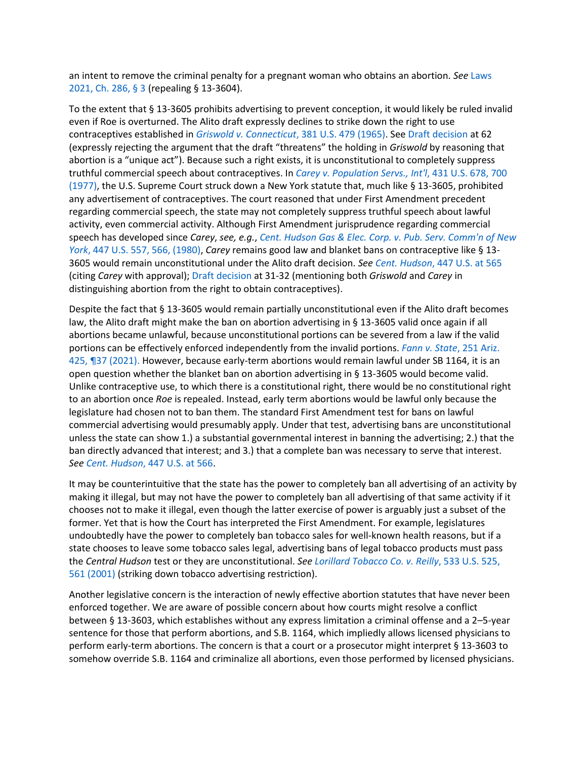an intent to remove the criminal penalty for a pregnant woman who obtains an abortion. *See* Laws 2021, Ch. 286, § 3 (repealing § 13-3604).

To the extent that § 13-3605 prohibits advertising to prevent conception, it would likely be ruled invalid even if Roe is overturned. The Alito draft expressly declines to strike down the right to use contraceptives established in *Griswold v. Connecticut*, 381 U.S. 479 (1965). See Draft decision at 62 (expressly rejecting the argument that the draft "threatens" the holding in *Griswold* by reasoning that abortion is a "unique act"). Because such a right exists, it is unconstitutional to completely suppress truthful commercial speech about contraceptives. In *Carey v. Population Servs., Int'l*, 431 U.S. 678, 700 (1977), the U.S. Supreme Court struck down a New York statute that, much like § 13-3605, prohibited any advertisement of contraceptives. The court reasoned that under First Amendment precedent regarding commercial speech, the state may not completely suppress truthful speech about lawful activity, even commercial activity. Although First Amendment jurisprudence regarding commercial speech has developed since *Carey*, *see, e.g.*, *Cent. Hudson Gas & Elec. Corp. v. Pub. Serv. Comm'n of New York*, 447 U.S. 557, 566, (1980), *Carey* remains good law and blanket bans on contraceptive like § 13- 3605 would remain unconstitutional under the Alito draft decision. *See Cent. Hudson*, 447 U.S. at 565 (citing *Carey* with approval); Draft decision at 31-32 (mentioning both *Griswold* and *Carey* in distinguishing abortion from the right to obtain contraceptives).

Despite the fact that § 13-3605 would remain partially unconstitutional even if the Alito draft becomes law, the Alito draft might make the ban on abortion advertising in § 13-3605 valid once again if all abortions became unlawful, because unconstitutional portions can be severed from a law if the valid portions can be effectively enforced independently from the invalid portions. *Fann v. State*, 251 Ariz. 425, ¶37 (2021). However, because early-term abortions would remain lawful under SB 1164, it is an open question whether the blanket ban on abortion advertising in § 13-3605 would become valid. Unlike contraceptive use, to which there is a constitutional right, there would be no constitutional right to an abortion once *Roe* is repealed. Instead, early term abortions would be lawful only because the legislature had chosen not to ban them. The standard First Amendment test for bans on lawful commercial advertising would presumably apply. Under that test, advertising bans are unconstitutional unless the state can show 1.) a substantial governmental interest in banning the advertising; 2.) that the ban directly advanced that interest; and 3.) that a complete ban was necessary to serve that interest. *See Cent. Hudson*, 447 U.S. at 566.

It may be counterintuitive that the state has the power to completely ban all advertising of an activity by making it illegal, but may not have the power to completely ban all advertising of that same activity if it chooses not to make it illegal, even though the latter exercise of power is arguably just a subset of the former. Yet that is how the Court has interpreted the First Amendment. For example, legislatures undoubtedly have the power to completely ban tobacco sales for well-known health reasons, but if a state chooses to leave some tobacco sales legal, advertising bans of legal tobacco products must pass the *Central Hudson* test or they are unconstitutional. *See Lorillard Tobacco Co. v. Reilly*, 533 U.S. 525, 561 (2001) (striking down tobacco advertising restriction).

Another legislative concern is the interaction of newly effective abortion statutes that have never been enforced together. We are aware of possible concern about how courts might resolve a conflict between § 13-3603, which establishes without any express limitation a criminal offense and a 2–5-year sentence for those that perform abortions, and S.B. 1164, which impliedly allows licensed physicians to perform early-term abortions. The concern is that a court or a prosecutor might interpret § 13-3603 to somehow override S.B. 1164 and criminalize all abortions, even those performed by licensed physicians.